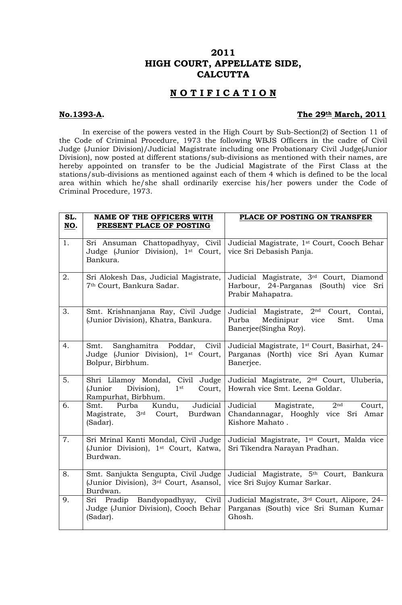## **2011 HIGH COURT, APPELLATE SIDE, CALCUTTA**

## **N O T I F I C A T I O N**

## **No.1393-A. The 29th March, 2011**

 In exercise of the powers vested in the High Court by Sub-Section(2) of Section 11 of the Code of Criminal Procedure, 1973 the following WBJS Officers in the cadre of Civil Judge (Junior Division)/Judicial Magistrate including one Probationary Civil Judge(Junior Division), now posted at different stations/sub-divisions as mentioned with their names, are hereby appointed on transfer to be the Judicial Magistrate of the First Class at the stations/sub-divisions as mentioned against each of them 4 which is defined to be the local area within which he/she shall ordinarily exercise his/her powers under the Code of Criminal Procedure, 1973.

| SL.<br>NO. | <b>NAME OF THE OFFICERS WITH</b><br>PRESENT PLACE OF POSTING                                                  | PLACE OF POSTING ON TRANSFER                                                                                          |
|------------|---------------------------------------------------------------------------------------------------------------|-----------------------------------------------------------------------------------------------------------------------|
| 1.         | Sri Ansuman Chattopadhyay, Civil<br>Judge (Junior Division), 1st Court,<br>Bankura.                           | Judicial Magistrate, 1st Court, Cooch Behar<br>vice Sri Debasish Panja.                                               |
| 2.         | Sri Alokesh Das, Judicial Magistrate,<br>7 <sup>th</sup> Court, Bankura Sadar.                                | Judicial Magistrate, 3rd Court, Diamond<br>Harbour, 24-Parganas (South) vice<br>Sri<br>Prabir Mahapatra.              |
| 3.         | Smt. Krishnanjana Ray, Civil Judge<br>(Junior Division), Khatra, Bankura.                                     | $2nd$ Court,<br>Judicial Magistrate,<br>Contai,<br>Purba<br>Medinipur<br>vice<br>Smt.<br>Uma<br>Banerjee(Singha Roy). |
| 4.         | Sanghamitra Poddar,<br>Civil<br>Smt.<br>Judge (Junior Division), 1st Court,<br>Bolpur, Birbhum.               | Judicial Magistrate, 1st Court, Basirhat, 24-<br>Parganas (North) vice Sri Ayan Kumar<br>Banerjee.                    |
| 5.         | Shri Lilamoy Mondal, Civil Judge<br>Division),<br>Court,<br>(Junior<br>1 <sup>st</sup><br>Rampurhat, Birbhum. | Judicial Magistrate, 2 <sup>nd</sup> Court, Uluberia,<br>Howrah vice Smt. Leena Goldar.                               |
| 6.         | Kundu,<br>Judicial<br>Purba<br>Smt.<br>Court, Burdwan<br>3 <sup>rd</sup><br>Magistrate,<br>(Sadar).           | Judicial Magistrate,<br>2 <sup>nd</sup><br>Court,<br>Chandannagar, Hooghly vice Sri Amar<br>Kishore Mahato.           |
| 7.         | Sri Mrinal Kanti Mondal, Civil Judge<br>(Junior Division), 1st Court, Katwa,<br>Burdwan.                      | Judicial Magistrate, 1 <sup>st</sup> Court, Malda vice<br>Sri Tikendra Narayan Pradhan.                               |
| 8.         | Smt. Sanjukta Sengupta, Civil Judge<br>(Junior Division), 3rd Court, Asansol,<br>Burdwan.                     | Judicial Magistrate, 5 <sup>th</sup> Court, Bankura<br>vice Sri Sujoy Kumar Sarkar.                                   |
| 9.         | Sri Pradip Bandyopadhyay, Civil<br>Judge (Junior Division), Cooch Behar<br>(Sadar).                           | Judicial Magistrate, 3rd Court, Alipore, 24-<br>Parganas (South) vice Sri Suman Kumar<br>Ghosh.                       |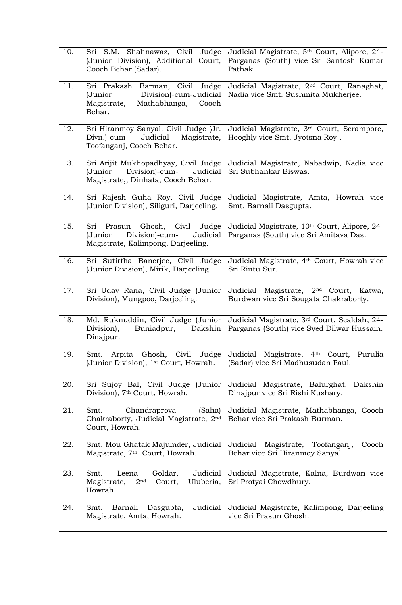| 10. | Sri S.M. Shahnawaz, Civil Judge<br>(Junior Division), Additional Court,<br>Cooch Behar (Sadar).                        | Judicial Magistrate, 5th Court, Alipore, 24-<br>Parganas (South) vice Sri Santosh Kumar<br>Pathak.   |
|-----|------------------------------------------------------------------------------------------------------------------------|------------------------------------------------------------------------------------------------------|
| 11. | Sri Prakash Barman, Civil Judge<br>(Junior<br>Division)-cum-Judicial<br>Magistrate,<br>Mathabhanga,<br>Cooch<br>Behar. | Judicial Magistrate, 2 <sup>nd</sup> Court, Ranaghat,<br>Nadia vice Smt. Sushmita Mukherjee.         |
| 12. | Sri Hiranmoy Sanyal, Civil Judge (Jr.<br>Judicial<br>Divn.)-cum-<br>Magistrate,<br>Toofanganj, Cooch Behar.            | Judicial Magistrate, 3rd Court, Serampore,<br>Hooghly vice Smt. Jyotsna Roy.                         |
| 13. | Sri Arijit Mukhopadhyay, Civil Judge<br>Division)-cum-<br>(Junior<br>Judicial<br>Magistrate,, Dinhata, Cooch Behar.    | Judicial Magistrate, Nabadwip, Nadia vice<br>Sri Subhankar Biswas.                                   |
| 14. | Sri Rajesh Guha Roy, Civil Judge<br>(Junior Division), Siliguri, Darjeeling.                                           | Judicial Magistrate, Amta, Howrah vice<br>Smt. Barnali Dasgupta.                                     |
| 15. | Sri Prasun Ghosh, Civil<br>Judge<br>Division)-cum-<br>Judicial<br>(Junior<br>Magistrate, Kalimpong, Darjeeling.        | Judicial Magistrate, 10th Court, Alipore, 24-<br>Parganas (South) vice Sri Amitava Das.              |
| 16. | Sri Sutirtha Banerjee, Civil Judge<br>(Junior Division), Mirik, Darjeeling.                                            | Judicial Magistrate, 4 <sup>th</sup> Court, Howrah vice<br>Sri Rintu Sur.                            |
| 17. | Sri Uday Rana, Civil Judge (Junior<br>Division), Mungpoo, Darjeeling.                                                  | 2 <sup>nd</sup> Court,<br>Judicial<br>Magistrate,<br>Katwa,<br>Burdwan vice Sri Sougata Chakraborty. |
| 18. | Md. Ruknuddin, Civil Judge (Junior<br>Buniadpur,<br>Dakshin<br>Division),<br>Dinajpur.                                 | Judicial Magistrate, 3rd Court, Sealdah, 24-<br>Parganas (South) vice Syed Dilwar Hussain.           |
| 19. | Ghosh, Civil Judge<br>Arpita<br>Smt.<br>(Junior Division), 1 <sup>st</sup> Court, Howrah.                              | Judicial Magistrate, 4th Court,<br>Purulia<br>(Sadar) vice Sri Madhusudan Paul.                      |
| 20. | Sri Sujoy Bal, Civil Judge (Junior<br>Division), 7 <sup>th</sup> Court, Howrah.                                        | Dakshin<br>Judicial Magistrate, Balurghat,<br>Dinajpur vice Sri Rishi Kushary.                       |
| 21. | Chandraprova<br>(Saha)<br>Smt.<br>Chakraborty, Judicial Magistrate, 2nd<br>Court, Howrah.                              | Judicial Magistrate, Mathabhanga, Cooch<br>Behar vice Sri Prakash Burman.                            |
| 22. | Smt. Mou Ghatak Majumder, Judicial<br>Magistrate, 7 <sup>th</sup> Court, Howrah.                                       | Judicial<br>Magistrate, Toofanganj,<br>Cooch<br>Behar vice Sri Hiranmoy Sanyal.                      |
| 23. | Judicial<br>Goldar,<br>Smt.<br>Leena<br>2 <sup>nd</sup><br>Uluberia,<br>Magistrate,<br>Court,<br>Howrah.               | Judicial Magistrate, Kalna, Burdwan vice<br>Sri Protyai Chowdhury.                                   |
| 24. | Judicial<br>Barnali<br>Smt.<br>Dasgupta,<br>Magistrate, Amta, Howrah.                                                  | Judicial Magistrate, Kalimpong, Darjeeling<br>vice Sri Prasun Ghosh.                                 |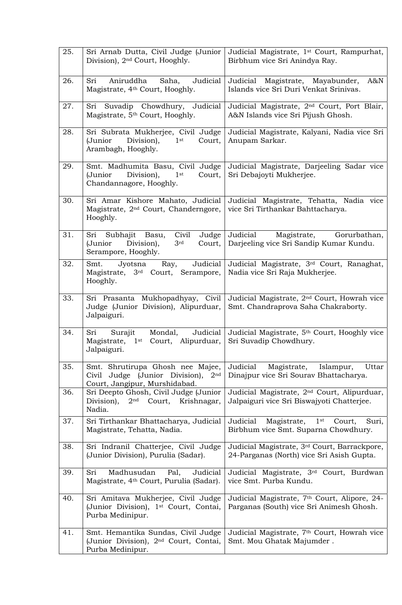| 25. | Sri Arnab Dutta, Civil Judge (Junior<br>Division), 2 <sup>nd</sup> Court, Hooghly.                                     | Judicial Magistrate, 1 <sup>st</sup> Court, Rampurhat,<br>Birbhum vice Sri Anindya Ray.               |
|-----|------------------------------------------------------------------------------------------------------------------------|-------------------------------------------------------------------------------------------------------|
| 26. | Sri<br>Aniruddha<br>Judicial<br>Saha,<br>Magistrate, 4 <sup>th</sup> Court, Hooghly.                                   | Judicial Magistrate, Mayabunder,<br>$A\&N$<br>Islands vice Sri Duri Venkat Srinivas.                  |
| 27. | Sri Suvadip Chowdhury, Judicial<br>Magistrate, 5th Court, Hooghly.                                                     | Judicial Magistrate, 2 <sup>nd</sup> Court, Port Blair,<br>A&N Islands vice Sri Pijush Ghosh.         |
| 28. | Sri Subrata Mukherjee, Civil Judge<br>(Junior<br>Division),<br>$1$ st<br>Court,<br>Arambagh, Hooghly.                  | Judicial Magistrate, Kalyani, Nadia vice Sri<br>Anupam Sarkar.                                        |
| 29. | Smt. Madhumita Basu, Civil Judge<br>(Junior<br>Division),<br>$1$ st<br>Court,<br>Chandannagore, Hooghly.               | Judicial Magistrate, Darjeeling Sadar vice<br>Sri Debajoyti Mukherjee.                                |
| 30. | Sri Amar Kishore Mahato, Judicial<br>Magistrate, 2 <sup>nd</sup> Court, Chanderngore,<br>Hooghly.                      | Judicial Magistrate, Tehatta, Nadia vice<br>vice Sri Tirthankar Bahttacharya.                         |
| 31. | Judge<br>Sri Subhajit Basu,<br>Civil<br>(Junior<br>Division),<br>3rd<br>Court,<br>Serampore, Hooghly.                  | Judicial Magistrate, Gorurbathan,<br>Darjeeling vice Sri Sandip Kumar Kundu.                          |
| 32. | Judicial<br>Smt.<br>Jyotsna<br>Ray,<br>Magistrate, 3rd Court, Serampore,<br>Hooghly.                                   | Judicial Magistrate, 3rd Court, Ranaghat,<br>Nadia vice Sri Raja Mukherjee.                           |
| 33. | Sri Prasanta Mukhopadhyay, Civil<br>Judge (Junior Division), Alipurduar,<br>Jalpaiguri.                                | Judicial Magistrate, 2 <sup>nd</sup> Court, Howrah vice<br>Smt. Chandraprova Saha Chakraborty.        |
| 34. | Judicial<br>Mondal,<br>Sri<br>Surajit<br>Magistrate, 1 <sup>st</sup> Court, Alipurduar,<br>Jalpaiguri.                 | Judicial Magistrate, 5th Court, Hooghly vice<br>Sri Suvadip Chowdhury.                                |
| 35. | Smt. Shrutirupa Ghosh nee Majee,<br>Civil Judge (Junior Division),<br>2 <sub>nd</sub><br>Court, Jangipur, Murshidabad. | Judicial<br>Magistrate,<br>Islampur,<br>Uttar<br>Dinajpur vice Sri Sourav Bhattacharya.               |
| 36. | Sri Deepto Ghosh, Civil Judge (Junior<br>Division),<br>2 <sup>nd</sup> Court, Krishnagar,<br>Nadia.                    | Judicial Magistrate, 2 <sup>nd</sup> Court, Alipurduar,<br>Jalpaiguri vice Sri Biswajyoti Chatterjee. |
| 37. | Sri Tirthankar Bhattacharya, Judicial<br>Magistrate, Tehatta, Nadia.                                                   | Magistrate,<br>$1$ st<br>Judicial<br>Court,<br>Suri,<br>Birbhum vice Smt. Suparna Chowdhury.          |
| 38. | Sri Indranil Chatterjee, Civil Judge<br>(Junior Division), Purulia (Sadar).                                            | Judicial Magistrate, 3rd Court, Barrackpore,<br>24-Parganas (North) vice Sri Asish Gupta.             |
| 39. | Madhusudan<br>Pal,<br>Sri<br>Judicial<br>Magistrate, 4 <sup>th</sup> Court, Purulia (Sadar).                           | Judicial Magistrate, 3 <sup>rd</sup> Court, Burdwan<br>vice Smt. Purba Kundu.                         |
| 40. | Sri Amitava Mukherjee, Civil Judge<br>(Junior Division), 1 <sup>st</sup> Court, Contai,<br>Purba Medinipur.            | Judicial Magistrate, 7th Court, Alipore, 24-<br>Parganas (South) vice Sri Animesh Ghosh.              |
| 41. | Smt. Hemantika Sundas, Civil Judge<br>(Junior Division), 2 <sup>nd</sup> Court, Contai,<br>Purba Medinipur.            | Judicial Magistrate, 7 <sup>th</sup> Court, Howrah vice<br>Smt. Mou Ghatak Majumder.                  |